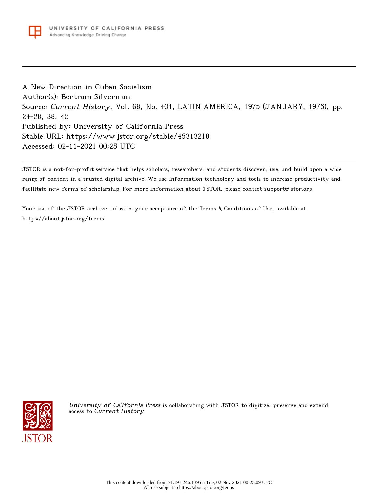

A New Direction in Cuban Socialism Author(s): Bertram Silverman Source: Current History, Vol. 68, No. 401, LATIN AMERICA, 1975 (JANUARY, 1975), pp. 24-28, 38, 42 Published by: University of California Press Stable URL: https://www.jstor.org/stable/45313218 Accessed: 02-11-2021 00:25 UTC

JSTOR is a not-for-profit service that helps scholars, researchers, and students discover, use, and build upon a wide range of content in a trusted digital archive. We use information technology and tools to increase productivity and facilitate new forms of scholarship. For more information about JSTOR, please contact support@jstor.org.

Your use of the JSTOR archive indicates your acceptance of the Terms & Conditions of Use, available at https://about.jstor.org/terms



University of California Press is collaborating with JSTOR to digitize, preserve and extend access to Current History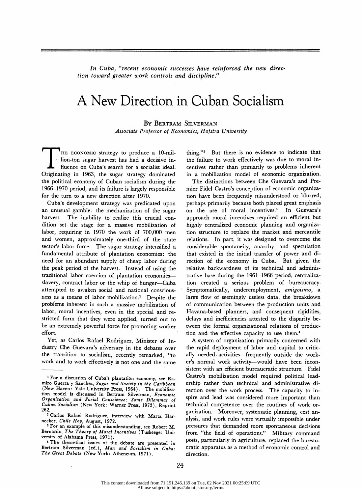In Cuba, "recent economic successes have reinforced the new direction toward greater work controls and discipline"

# A New Direction in Cuban Socialism

#### By Bertram Silverman

Associate Professor of Economics, Hofstra University

HE ECONOMIC strategy to produce a 10-million-ton sugar harvest has had a decisive in-**Follo** fluence on Cuba's search for a socialist ideal. Originating in 1963, the sugar strategy dominated the political economy of Cuban socialism during the 1966-1970 period, and its failure is largely responsible for the turn to a new direction after 1970.

Cuba's development strategy was predicated upon an unusual gamble: the mechanization of the sugar harvest. The inability to realize this crucial condition set the stage for a massive mobilization of labor, requiring in 1970 the work of 700,000 men and women, approximately one-third of the state sector's labor force. The sugar strategy intensified a fundamental attribute of plantation economies: the need for an abundant supply of cheap labor during the peak period of the harvest. Instead of using the traditional labor coercion of plantation economiesslavery, contract labor or the whip of hunger-Cuba attempted to awaken social and national consciousness as a means of labor mobilization.1 Despite the problems inherent in such a massive mobilization of labor, moral incentives, even in the special and restricted form that they were applied, turned out to be an extremely powerful force for promoting worker effort.

Yet, as Carlos Rafael Rodriguez, Minister of Industry Che Guevara's adversary in the debates over the transition to socialism, recently remarked, "to work and to work effectively is not one and the same thing."2 But there is no evidence to indicate that the failure to work effectively was due to moral incentives rather than primarily to problems inherent in a mobilization model of economic organization.

The distinctions between Che Guevara's and Premier Fidel Castro's conception of economic organization have been frequently misunderstood or blurred, perhaps primarily because both placed great emphasis on the use of moral incentives.3 In Guevara's approach moral incentives required an efficient but highly centralized economic planning and organization structure to replace the market and mercantile relations. In part, it was designed to overcome the considerable spontaneity, anarchy, and speculation that existed in the initial transfer of power and direction of the economy in Cuba. But given the relative backwardness of its technical and administrative base during the 1961-1966 period, centralization created a serious problem of bureaucracy. Symptomatically, underemployment, amigoismo, a large flow of seemingly useless data, the breakdown of communication between the production units and Havana-based planners, and consequent rigidities, delays and inefficiencies attested to the disparity between the formal organizational relations of production and the effective capacity to use them.4

A system of organization primarily concerned with the rapid deployment of labor and capital to critically needed activities-frequently outside the worker's normal work activity--would have been inconsistent with an efficient bureaucratic structure. Fidel Castro's mobilization model required political leadership rather than technical and administrative direction over the work process. The capacity to inspire and lead was considered more important than technical competence over the routines of work organization. Moreover, systematic planning, cost analysis, and work rules were virtually impossible under pressures that demanded more spontaneous decisions from "the field of operations." Military command posts, particularly in agriculture, replaced the bureaucratic apparatus as a method of economic control and direction.

<sup>1</sup> For a discussion of Cuba's plantation economy, see Ramiro Guerra y Sanchez, Sugar and Society in the Caribbean (New Haven: Yale University Press, 1964). The mobilization model is discussed in Bertram Silverman, Economic Organization and Social Conscience: Some Dilemmas of Cuban Socialism (New York: Warner Press, 1973), Reprint 262.

<sup>2</sup> Carlos Rafael Rodriguez, interview with Marta Harnecker, Chile Hoy, August, 1972.

<sup>3</sup> For an example of this misunderstanding, see Robert M. Bernardo, The Theory of Moral Incentives (Tuskeege: University of Alabama Press, 1971).

<sup>4</sup> The theoretical issues of the debate are presented in Bertram Silverman (ed.), Man and Socialism in The Great Debate (New York: Atheneum,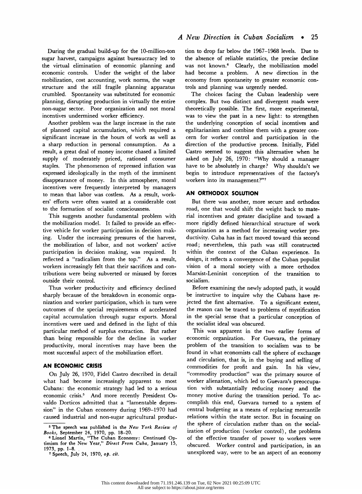During the gradual build-up for the 10-million-ton sugar harvest, campaigns against bureaucracy led to the virtual elimination of economic planning and economic controls. Under the weight of the labor mobilization, cost accounting, work norms, the wage structure and the still fragile planning apparatus crumbled. Spontaneity was substituted for economic planning, disrupting production in virtually the entire non-sugar sector. Poor organization and not moral incentives undermined worker efficiency.

Another problem was the large increase in the rate of planned capital accumulation, which required a significant increase in the hours of work as well as a sharp reduction in personal consumption. As a result, a great deal of money income chased a limited supply of moderately priced, rationed consumer staples. The phenomenon of repressed inflation was expressed ideologically in the myth of the imminent disappearance of money. In this atmosphere, moral incentives were frequently interpreted by managers to mean that labor was costless. As a result, workers' efforts were often wasted at a considerable cost to the formation of socialist consciousness.

This suggests another fundamental problem with the mobilization model. It failed to provide an effective vehicle for worker participation in decision making. Under the increasing pressures of the harvest, the mobilization of labor, and not workers' active participation in decision making, was required. It reflected a "radicalism from the top." As a result, workers increasingly felt that their sacrifices and contributions were being subverted or misused by forces outside their control.

Thus worker productivity and efficiency declined sharply because of the breakdown in economic organization and worker participation, which in turn were outcomes of the special requirements of accelerated capital accumulation through sugar exports. Moral incentives were used and defined in the light of this particular method of surplus extraction. But rather than being responsible for the decline in worker productivity, moral incentives may have been the most successful aspect of the mobilization effort.

### AN ECONOMIC CRISIS

On July 26, 1970, Fidel Castro described in detail what had become increasingly apparent to most Cubans: the economic strategy had led to a serious economic crisis.5 And more recently President Osvaldo Dorticos admitted that a "lamentable depression" in the Cuban economy during 1969-1970 had caused industrial and non-sugar agricultural production to drop far below the 1967-1968 levels. Due to the absence of reliable statistics, the precise decline was not known.<sup>6</sup> Clearly, the mobilization model had become a problem. A new direction in the economy from spontaneity to greater economic controls and planning was urgently needed.

The choices facing the Cuban leadership were complex. But two distinct and divergent roads were theoretically possible. The first, more experimental, was to view the past in a new light: to strengthen the underlying conception of social incentives and egalitarianism and combine them with a greater concern for worker control and participation in the direction of the productive process. Initially, Fidel Castro seemed to suggest this alternative when he asked on July 26, 1970: "Why should a manager have to be absolutely in charge? Why shouldn't we begin to introduce representatives of the factory's workers into its management?"7

#### AN ORTHODOX SOLUTION

But there was another, more secure and orthodox road, one that would shift the weight back to material incentives and greater discipline and toward a more rigidly defined hierarchical structure of work organization as a method for increasing worker productivity. Cuba has in fact moved toward this second road; nevertheless, this path was still constructed within the context of the Cuban experience. In design, it reflects a convergence of the Cuban populist vision of a moral society with a more orthodox Marxist-Leninist conception of the transition to socialism.

Before examining the newly adopted path, it would be instructive to inquire why the Cubans have rejected the first alternative. To a significant extent, the reason can be traced to problems of mystification in the special sense that a particular conception of the socialist ideal was obscured.

This was apparent in the two earlier forms of economic organization. For Guevara, the primary problem of the transition to socialism was to be found in what economists call the sphere of exchange and circulation, that is, in the buying and selling of commodities for profit and gain. In his view, "commodity production" was the primary source of worker alienation, which led to Guevara's preoccupation with substantially reducing money and the money motive during the transition period. To accomplish this end, Guevara turned to a system of central budgeting as a means of replacing mercantile relations within the state sector. But in focusing on the sphere of circulation rather than on the socialization of production (worker control), the problems of the effective transfer of power to workers were obscured. Worker control and participation, in an unexplored way, were to be an aspect of an economy

<sup>5</sup> The speech was published in the New York Review of Books, September 24, 1970, pp. 18-20.

<sup>&</sup>lt;sup>6</sup> Lionel Martin, "The Cuban Economy: Continued Optimism for the New Year," Direct From Cuba, January 15, 1973, pp. 1-8.

<sup>7</sup> Speech, July 24, 1970, op. cit.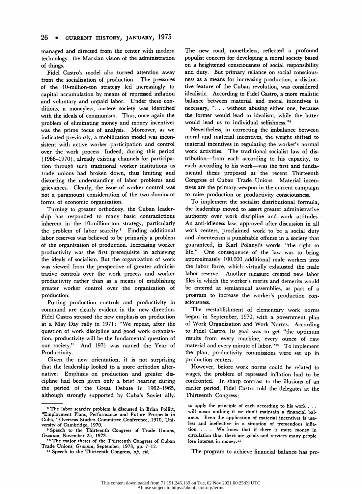managed and directed from the center with modern technology: the Marxian vision of the administration of things.

Fidel Castro's model also turned attention away from the socialization of production. The pressures of the 10-million-ton strategy led increasingly to capital accumulation by means of repressed inflation and voluntary and unpaid labor. Under these conditions, a moneyless, austere society was identified with the ideals of communism. Thus, once again the problem of eliminating money and money incentives was the prime focus of analysis. Moreover, as we indicated previously, a mobilization model was inconsistent with active worker participation and control over the work process. Indeed, during this period (1966-1970), already existing channels for participation through such traditional worker institutions as trade unions had broken down, thus limiting and distorting the understanding of labor problems and grievances. Clearly, the issue of worker control was not a paramount consideration of the two dominant forms of economic organization.

Turning to greater orthodoxy, the Cuban leadership has responded to many basic contradictions inherent in the 10-million-ton strategy, particularly the problem of labor scarcity.8 Finding additional labor reserves was believed to be primarily a problem of the organization of production. Increasing worker productivity was the first prerequisite in achieving the ideals of socialism. But the organization of work was viewed from the perspective of greater administrative controls over the work process and worker productivity rather than as a means of establishing greater worker control over the organization of production.

Putting production controls and productivity in command are clearly evident in the new direction. Fidel Castro stressed the new emphasis on production at a May Day rally in 1971: "We repeat, after the question of work discipline and good work organization, productivity will be the fundamental question of our society." And 1971 was named the Year of And 1971 was named the Year of Productivity.

Given the new orientation, it is not surprising that the leadership looked to a more orthodox alternative. Emphasis on production and greater discipline had been given only a brief hearing during the period of the Great Debate in 1962-1965, although strongly supported by Cuba's Soviet ally.

The new road, nonetheless, reflected a profound populist concern for developing a moral society based on a heightened consciousness of social responsibility and duty. But primary reliance on social consciousness as a means for increasing production, a distinctive feature of the Cuban revolution, was considered idealistic. According to Fidel Castro, a more realistic balance between material and moral incentives is necessary, ". . . without abusing either one, because the former would lead to idealism, while the latter would lead us to individual selfishness."9

Nevertheless, in correcting the imbalance between moral and material incentives, the weight shifted to material incentives in regulating the worker's normal work activities. The traditional socialist law of distribution-from each according to his capacity, to each according to his work--was the first and fundamental thesis proposed at the recent Thirteenth Congress of Cuban Trade Unions. Material incentives are the primary weapon in the current campaign to raise production or productivity consciousness.

To implement the socialist distributional formula, the leadership moved to assert greater administrative authority over work discipline and work attitudes. An anti-idleness law, approved after discussion in all work centers, proclaimed work to be a social duty and absenteeism a punishable offense in a society that guaranteed, in Karl Polanyi's words, "the right to life." One consequence of the law was to bring approximately 100,000 additional male workers into the labor force, which virtually exhausted the male labor reserve. Another measure created new labor files in which the worker's merits and demerits would be entered at semiannual assemblies, as part of a program to increase the worker's production consciousness.

The reestablishment of elementary work norms began in September, 1970, with a government plan of Work Organization and Work Norms. According to Fidel Castro, its goal was to get "the optimum results from every machine, every ounce of raw material and every minute of labor."10 To implement the plan, productivity commissions were set up in production centers.

However, before work norms could be related to wages, the problem of repressed inflation had to be confronted. In sharp contrast to the illusions of an earlier period, Fidel Castro told the delegates at the Thirteenth Congress:

The program to achieve financial balance has pro-

<sup>&</sup>lt;sup>8</sup> The labor scarcity problem is discussed in Brian Pollitt, "Employment Plans, Performance and Future Prospects in Cuba," Overseas Studies Committee Conference, 1970, University of Cambridge, 1970.

<sup>&</sup>lt;sup>9</sup> Speech to the Initreenth Congress of Trade Unions Granma, November 25, 1973.

<sup>10</sup> The major theses of the Thirteenth Congress of Cuban Trade Unions, Granma, September, 1973, pp. 7-12.

<sup>11</sup> Speech to the Thirteenth Congress, op. cit.

to apply the principle of each according to his work . . . will mean nothing if we don't maintain a financial balance. Even the application of material incentives is useless and ineffective in a situation of tremendous inflation. ... We know that if there is more money in circulation than there are goods and services many people lose interest in money.11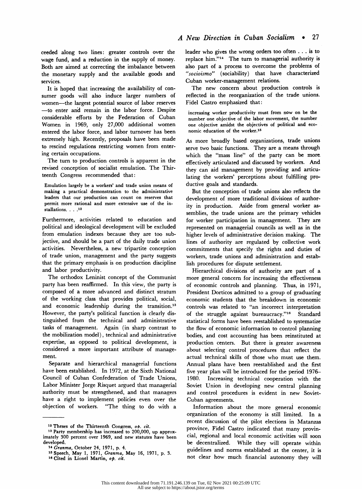ceeded along two lines: greater controls over the wage fund, and a reduction in the supply of money. Both are aimed at correcting the imbalance between the monetary supply and the available goods and services.

It is hoped that increasing the availability of consumer goods will also induce larger numbers of women-the largest potential source of labor reserves - to enter and remain in the labor force. Despite considerable efforts by the Federation of Cuban Women in 1969, only 27,000 additional women entered the labor force, and labor turnover has been extremely high. Recently, proposals have been made to rescind regulations restricting women from entering certain occupations.

The turn to production controls is apparent in the revised conception of socialist emulation. The Thirteenth Congress recommended that:

Emulation largely be a workers' and trade union means of making a practical demonstration to the administrative leaders that our production can count on reserves that permit more rational and more extensive use of the installations. . . .<sup>12</sup>

Furthermore, activities related to education and political and ideological development will be excluded from emulation indexes because they are too subjective, and should be a part of the daily trade union activities. Nevertheless, a new tripartite conception of trade union, management and the party suggests that the primary emphasis is on production discipline and labor productivity.

The orthodox Leninist concept of the Communist party has been reaffirmed. In this view, the party is composed of a more advanced and distinct stratum of the working class that provides political, social, and economic leadership during the transition.<sup>13</sup> However, the party's political function is clearly distinguished from the technical and administrative tasks of management. Again (in sharp contrast to the mobilization model), technical and administrative expertise, as opposed to political development, is considered a more important attribute of management.

Separate and hierarchical managerial functions have been established. In 1972, at the Sixth National Council of Cuban Confederation of Trade Unions, Labor Minister Jorge Risquet argued that managerial authority must be strengthened, and that managers have a right to implement policies even over the objection of workers. "The thing to do with a

leader who gives the wrong orders too often ... is to replace him."14 The turn to managerial authority is also part of a process to overcome the problems of "socioismo" (sociability) that have characterized Cuban worker-management relations.

The new concern about production controls is reflected in the reorganization of the trade unions. Fidel Castro emphasized that:

increasing worker productivity must from now on be the number one objective of the labor movement, the number one objective amidst the objectives of political and economic education of the worker.15

As more broadly based organizations, trade unions serve two basic functions. They are a means through which the "mass line" of the party can be more, effectively articulated and discussed by workers. And they can aid management by providing and articulating the workers' perceptions about fulfilling productive goals and standards.

But the conception of trade unions also reflects the development of more traditional divisions of authority in production. Aside from general worker assemblies, the trade unions are the primary vehicles for worker participation in management. They are represented on managerial councils as well as in the higher levels of administrative decision making. The lines of authority are regulated by collective work commitments that specify the rights and duties of workers, trade unions and administration and establish procedures for dispute settlement.

Hierarchical divisions of authority are part of a more general concern for increasing the effectiveness of economic controls and planning. Thus, in 1971, President Dorticos admitted to a group of graduating economic students that the breakdown in economic controls was related to "an incorrect interpretation of the struggle against bureaucracy."16 Standard statistical forms have been reestablished to systematize the flow of economic information to control planning bodies, and cost accounting has been reinstituted at production centers. But there is greater awareness about selecting control procedures that reflect the actual technical skills of those who must use them. Annual plans have been reestablished and the first five year plan will be introduced for the period 1976- 1980. Increasing technical cooperation with the Soviet Union in developing new central planning and control procedures is evident in new Soviet-Cuban agreements.

Information about the more general economic organization of the economy is still limited. In a recent discussion of the pilot elections in Matanzas province, Fidel Castro indicated that many provincial, regional and local economic activities will soon be decentralized. While they will operate within guidelines and norms established at the center, it is not clear how much financial autonomy they will

<sup>&</sup>lt;sup>12</sup> Theses of the Thirteenth Congress,  $ob. cit.$ 

<sup>13</sup> Party membership has increased to 200,000, up approximately 300 percent over 1969, and new statutes have been developed.

<sup>14</sup> Granma, October 24, 1971, p. 4.

<sup>15</sup> Speech, May 1, 1971, Granma, May 16, 1971, p. 3. 16 Cited in Lionel Martin, op. cit.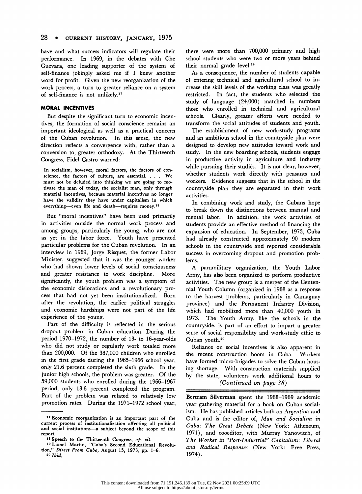have and what success indicators will regulate their performance. In 1969, in the debates with Che Guevara, one leading supporter of the system of self-finance jokingly asked me if I knew another word for profit. Given the new reorganization of the work process, a turn to greater reliance on a system of self-finance is not unlikely.17

#### MORAL INCENTIVES

But despite the significant turn to economic incentives, the formation of social conscience remains an important ideological as well as a practical concern of the Cuban revolution. In this sense, the new direction reflects a convergence with, rather than a conversion to, greater orthodoxy. At the Thirteenth Congress, Fidel Castro warned:

In socialism, however, moral factors, the factors of conscience, the factors of culture, are essential. ... We must not be deluded into thinking we are going to motivate the man of today, the socialist man, only through material incentives, because material incentives no longer have the validity they have under capitalism in which everything-even life and death-requires money.<sup>18</sup>

But "moral incentives" have been used primarily in activities outside the normal work process and among groups, particularly the young, who are not as yet in the labor force. Youth have presented particular problems for the Cuban revolution. In an interview in 1969, Jorge Risquet, the former Labor Minister, suggested that it was the younger worker who had shown lower levels of social consciousness and greater resistance to work discipline. More significantly, the youth problem was a symptom of the economic dislocations and a revolutionary process that had not yet been institutionalized. Born after the revolution, the earlier political struggles and economic hardships were not part of the life experience of the young.

Part of the difficulty is reflected in the serious dropout problem in Cuban education. During the period 1970-1972, the number of 13- to 16-year-olds who did not study or regularly work totaled more than 200,000. Of the 387,000 children who enrolled in the first grade during the 1965-1966 school year, only 21.6 percent completed the sixth grade. In the junior high schools, the problem was greater. Of the 59,000 students who enrolled during the 1966-1967 period, only 13.6 percent completed the program. Part of the problem was related to relatively low promotion rates. During the 1971-1972 school year, there were more than 700,000 primary and high school students who were two or more years behind their normal grade level.19

As a consequence, the number of students capable of entering technical and agricultural school to increase the skill levels of the working class was greatly restricted. In fact, the students who selected the study of language (24,000) matched in numbers those who enrolled in technical and agricultural schools. Clearly, greater efforts were needed to transform the social attitudes of students and youth.

The establishment of new work-study programs and an ambitious school in the countryside plan were designed to develop new attitudes toward work and study. In the new boarding schools, students engage in productive activity in agriculture and industry while pursuing their studies. It is not clear, however, whether students work directly with peasants and workers. Evidence suggests that in the school in the countryside plan they are separated in their work activities.

In combining work and study, the Cubans hope to break down the distinctions between manual and mental labor. In addition, the work activities of students provide an effective method of financing the expansion of education. In September, 1973, Cuba had already constructed approximately 90 modern schools in the countryside and reported considerable success in overcoming dropout and promotion problems.

A paramilitary organization, the Youth Labor Army, has also been organized to perform productive activities. The new group is a merger of the Centennial Youth Column (organized in 1968 as a response to the harvest problems, particularly in Camaguay province) and the Permanent Infantry Division, which had mobilized more than 40,000 youth in 1973. The Youth Army, like the schools in the countryside, is part of an effort to impart a greater sense of social responsibility and work-study ethic to Cuban youth.20

Reliance on social incentives is also apparent in the recent construction boom in Cuba. Workers have formed micro-brigades to solve the Cuban housing shortage. With construction materials supplied by the state, volunteers work additional hours to (Continued on page 38)

Bertram Silverman spent the 1968-1969 academic year gathering material for a book on Cuban socialism. He has published articles both on Argentina and Cuba and is the editor of, Man and Socialism in Cuba: The Great Debate (New York: Atheneum, 1971), and cooeditor, with Murray Yanowitch, of The Worker in "Post-Industrial" Capitalism: Liberal and Radical Responses (New York: Free Press, 1974).

<sup>17</sup> Economic reorganization is an important part of the current process of institutionalization affecting all political and social institutions-a subject beyond the scope of this report.

<sup>18</sup> Speech to the Thirteenth Congress, op. cit.

<sup>19</sup> Lionel Martin, "Cuba's Second Educational Revolution," Direct From Cuba, August 15, 1973, pp. 1-6. 20 Jbid.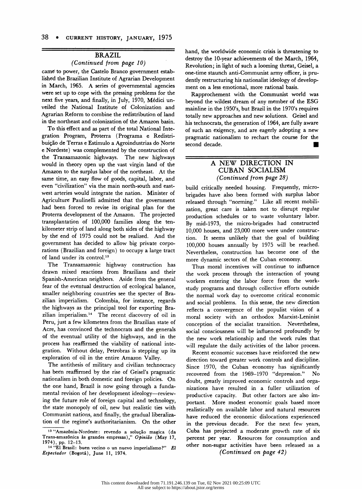## BRAZIL

### (Continued from page 10)

came' to power, the Castelo Branco government established the Brazilian Institute of Agrarian Development in March, 1965. A series of governmental agencies were set up to cope with the pressing problems for the next five years, and finally, in July, 1970, Medici unveiled the National Institute of Colonization and Agrarian Reform to combine the redistribution of land in the northeast and colonization of the Amazon basin.

To this effect and as part of the total National Integration Program, Proterra (Programa e Redistribuição de Terras e Estimulo a Agroindustrias do Norte e Nordeste) was complemented by the construction of the Transamazonic highways. The new highways would in theory open up the vast virgin land of the Amazon to the surplus labor of the northeast. At the same time, an easy flow of goods, capital, labor, and even "civilization" via the main north-south and eastwest arteries would integrate the nation. Minister of Agriculture Paulinelli admitted that the government had been forced to revise its original plan for the Proterra development of the Amazon. The projected transplantation of 100,000 families along the tenkilometer strip of land along both sides of the highway by the end of 1975 could not be realized. And the government has decided to allow big private corporations (Brazilian and foreign) to occupy a large tract of land under its control.<sup>13</sup>

The Transamazonic highway construction has drawn mixed reactions from Brazilians and their Spanish-American neighbors. Aside from the general fear of the eventual destruction of ecological balance, smaller neighboring countries see the specter of Brazilian imperialism. Colombia, for instance, regards the highways as the principal tool for exporting Brazilian imperialism.14 The recent discovery of oil in Peru, just a few kilometers from the Brazilian state of Acre, has convinced the technocrats and the generals of the eventual utility of the highways, and in the process has reaffirmed the viability of national integration. Without delay, Petrobras is stepping up its exploration of oil in the entire Amazon Valley.

The antithesis of military and civilian technocracy has been reaffirmed by the rise of Geisel's pragmatic nationalism in both domestic and foreign policies. On the one hand, Brazil is now going through a fundamental revision of her development ideology—reviewing the future role of foreign capital and technology, the state monopoly of oil, new but realistic ties with Communist nations, and finally, the gradual liberalization of the regime's authoritarianism. On the other hand, the worldwide economic crisis is threatening to destroy the 10-year achievements of the March, 1964, Revolution; in light of such a looming threat, Geisel, a one-time staunch anti-Communist army officer, is prudently restructuring his nationalist ideology of development on a less emotional, more rational basis.

Rapprochement with the Communist world was beyond the wildest dream of any member of the ESG mainline in the 1950's, but Brazil in the 1970's requires totally new approaches and new solutions. Geisel and his technocrats, the generation of 1964, are fully aware of such an exigency, and are eagerly adopting a new pragmatic nationalism to rechart the course for the second decade. ■

## A NEW DIRECTION IN CUBAN SOCIALISM (Continued from page 28)

build critically needed housing. Frequently, microbrigades have also been formed with surplus labor released through "norming." Like all recent mobilization, great care is taken not to disrupt regular production schedules or to waste voluntary labor. By mid- 1973, the micro-brigades had constructed 10,000 houses, and 23,000 more were under construction. It seems unlikely that the goal of building 100,000 houses annually by 1975 will be reached. Nevertheless, construction has become one of the more dynamic sectors of. the Cuban economy.

Thus moral incentives will continue to influence the work process through the interaction of young workers entering the labor force from the workstudy programs and through collective efforts outside the normal work day to overcome critical economic and social problems. In this sense, the new direction reflects a convergence of the populist vision of a moral society with an orthodox Marxist-Leninist conception of the socialist transition. Nevertheless, social consciousness will be influenced profoundly by the new work relationship and the work rules that will regulate the daily activities of the labor process.

Recent economic successes have reinforced the new direction toward greater work controls and discipline. Since 1970, the Cuban economy has significantly recovered from the 1969-1970 "depression." No doubt, greatly improved economic controls and organizations have resulted in a fuller utilization of productive capacity. But other factors are also important. More modest economic goals based more realistically on available labor and natural resources have reduced the economic dislocations experienced in the previous decade. For the next few years, Cuba has projected a moderate growth rate of six percent per year. Resources for consumption and other non-sugar activities have been released as a (Continued on page 42)

<sup>&</sup>lt;sup>13</sup> "Amazônia-Nordeste: revendo a solução magica (d Trans-amazônica às grandes empresas)," Opinião (May 17, 1974), pp. 12-13.

<sup>14 &</sup>quot;El Brasil: buen vecino o un nuevo imperialismo?" El Espectador (Bogotá), June 11, 1974.